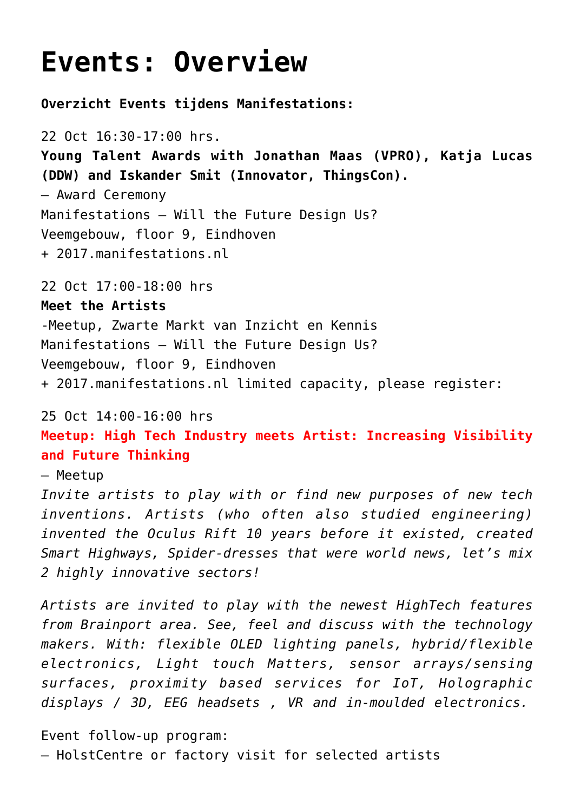## **[Events: Overview](https://2017.manifestations.nl/events-overzicht/?lang=en)**

**Overzicht Events tijdens Manifestations:**

22 Oct 16:30-17:00 hrs. **Young Talent Awards with Jonathan Maas (VPRO), Katja Lucas (DDW) and Iskander Smit (Innovator, ThingsCon).** – Award Ceremony Manifestations – Will the Future Design Us? Veemgebouw, floor 9, Eindhoven + [2017.manifestations.nl](https://2017.manifestations.nl)

22 Oct 17:00-18:00 hrs

**Meet the Artists**  -Meetup, Zwarte Markt van Inzicht en Kennis Manifestations – Will the Future Design Us? Veemgebouw, floor 9, Eindhoven + [2017.manifestations.nl](https://2017.manifestations.nl) limited capacity, please register:

## 25 Oct 14:00-16:00 hrs

**Meetup: High Tech Industry meets Artist: Increasing Visibility and Future Thinking**

## – Meetup

*Invite artists to play with or find new purposes of new tech inventions. Artists (who often also studied engineering) invented the Oculus Rift 10 years before it existed, created Smart Highways, Spider-dresses that were world news, let's mix 2 highly innovative sectors!*

*Artists are invited to play with the newest HighTech features from Brainport area. See, feel and discuss with the technology makers. With: flexible OLED lighting panels, hybrid/flexible electronics, Light touch Matters, sensor arrays/sensing surfaces, proximity based services for IoT, Holographic displays / 3D, EEG headsets , VR and in-moulded electronics.*

Event follow-up program: – HolstCentre or factory visit for selected artists